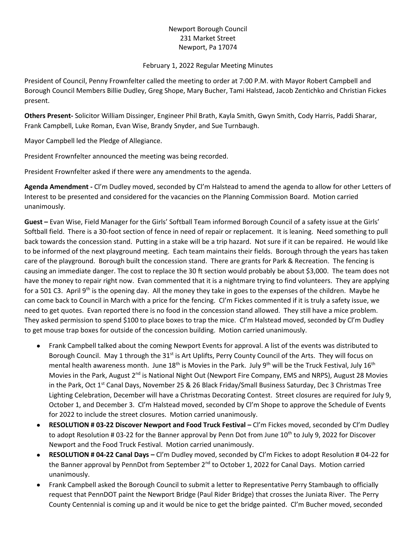## Newport Borough Council 231 Market Street Newport, Pa 17074

## February 1, 2022 Regular Meeting Minutes

President of Council, Penny Frownfelter called the meeting to order at 7:00 P.M. with Mayor Robert Campbell and Borough Council Members Billie Dudley, Greg Shope, Mary Bucher, Tami Halstead, Jacob Zentichko and Christian Fickes present.

**Others Present-** Solicitor William Dissinger, Engineer Phil Brath, Kayla Smith, Gwyn Smith, Cody Harris, Paddi Sharar, Frank Campbell, Luke Roman, Evan Wise, Brandy Snyder, and Sue Turnbaugh.

Mayor Campbell led the Pledge of Allegiance.

President Frownfelter announced the meeting was being recorded.

President Frownfelter asked if there were any amendments to the agenda.

**Agenda Amendment -** Cl'm Dudley moved, seconded by Cl'm Halstead to amend the agenda to allow for other Letters of Interest to be presented and considered for the vacancies on the Planning Commission Board. Motion carried unanimously.

**Guest –** Evan Wise, Field Manager for the Girls' Softball Team informed Borough Council of a safety issue at the Girls' Softball field. There is a 30-foot section of fence in need of repair or replacement. It is leaning. Need something to pull back towards the concession stand. Putting in a stake will be a trip hazard. Not sure if it can be repaired. He would like to be informed of the next playground meeting. Each team maintains their fields. Borough through the years has taken care of the playground. Borough built the concession stand. There are grants for Park & Recreation. The fencing is causing an immediate danger. The cost to replace the 30 ft section would probably be about \$3,000. The team does not have the money to repair right now. Evan commented that it is a nightmare trying to find volunteers. They are applying for a 501 C3. April 9<sup>th</sup> is the opening day. All the money they take in goes to the expenses of the children. Maybe he can come back to Council in March with a price for the fencing. Cl'm Fickes commented if it is truly a safety issue, we need to get quotes. Evan reported there is no food in the concession stand allowed. They still have a mice problem. They asked permission to spend \$100 to place boxes to trap the mice. Cl'm Halstead moved, seconded by Cl'm Dudley to get mouse trap boxes for outside of the concession building. Motion carried unanimously.

- Frank Campbell talked about the coming Newport Events for approval. A list of the events was distributed to Borough Council. May 1 through the 31<sup>st</sup> is Art Uplifts, Perry County Council of the Arts. They will focus on mental health awareness month. June  $18<sup>th</sup>$  is Movies in the Park. July  $9<sup>th</sup>$  will be the Truck Festival, July  $16<sup>th</sup>$ Movies in the Park, August  $2^{nd}$  is National Night Out (Newport Fire Company, EMS and NRPS), August 28 Movies in the Park, Oct 1<sup>st</sup> Canal Days, November 25 & 26 Black Friday/Small Business Saturday, Dec 3 Christmas Tree Lighting Celebration, December will have a Christmas Decorating Contest. Street closures are required for July 9, October 1, and December 3. Cl'm Halstead moved, seconded by Cl'm Shope to approve the Schedule of Events for 2022 to include the street closures. Motion carried unanimously.
- **RESOLUTION # 03-22 Discover Newport and Food Truck Festival –** Cl'm Fickes moved, seconded by Cl'm Dudley to adopt Resolution # 03-22 for the Banner approval by Penn Dot from June 10<sup>th</sup> to July 9, 2022 for Discover Newport and the Food Truck Festival. Motion carried unanimously.
- **RESOLUTION # 04-22 Canal Days –** Cl'm Dudley moved, seconded by Cl'm Fickes to adopt Resolution # 04-22 for the Banner approval by PennDot from September  $2^{nd}$  to October 1, 2022 for Canal Days. Motion carried unanimously.
- Frank Campbell asked the Borough Council to submit a letter to Representative Perry Stambaugh to officially request that PennDOT paint the Newport Bridge (Paul Rider Bridge) that crosses the Juniata River. The Perry County Centennial is coming up and it would be nice to get the bridge painted. Cl'm Bucher moved, seconded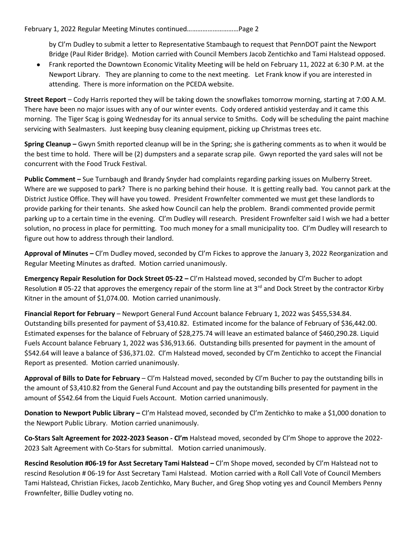by Cl'm Dudley to submit a letter to Representative Stambaugh to request that PennDOT paint the Newport Bridge (Paul Rider Bridge). Motion carried with Council Members Jacob Zentichko and Tami Halstead opposed.

• Frank reported the Downtown Economic Vitality Meeting will be held on February 11, 2022 at 6:30 P.M. at the Newport Library. They are planning to come to the next meeting. Let Frank know if you are interested in attending. There is more information on the PCEDA website.

**Street Report** – Cody Harris reported they will be taking down the snowflakes tomorrow morning, starting at 7:00 A.M. There have been no major issues with any of our winter events. Cody ordered antiskid yesterday and it came this morning. The Tiger Scag is going Wednesday for its annual service to Smiths. Cody will be scheduling the paint machine servicing with Sealmasters. Just keeping busy cleaning equipment, picking up Christmas trees etc.

**Spring Cleanup –** Gwyn Smith reported cleanup will be in the Spring; she is gathering comments as to when it would be the best time to hold. There will be (2) dumpsters and a separate scrap pile. Gwyn reported the yard sales will not be concurrent with the Food Truck Festival.

**Public Comment –** Sue Turnbaugh and Brandy Snyder had complaints regarding parking issues on Mulberry Street. Where are we supposed to park? There is no parking behind their house. It is getting really bad. You cannot park at the District Justice Office. They will have you towed. President Frownfelter commented we must get these landlords to provide parking for their tenants. She asked how Council can help the problem. Brandi commented provide permit parking up to a certain time in the evening. Cl'm Dudley will research. President Frownfelter said I wish we had a better solution, no process in place for permitting. Too much money for a small municipality too. Cl'm Dudley will research to figure out how to address through their landlord.

**Approval of Minutes –** Cl'm Dudley moved, seconded by Cl'm Fickes to approve the January 3, 2022 Reorganization and Regular Meeting Minutes as drafted. Motion carried unanimously.

**Emergency Repair Resolution for Dock Street 05-22 –** Cl'm Halstead moved, seconded by Cl'm Bucher to adopt Resolution # 05-22 that approves the emergency repair of the storm line at  $3^{rd}$  and Dock Street by the contractor Kirby Kitner in the amount of \$1,074.00. Motion carried unanimously.

**Financial Report for February** – Newport General Fund Account balance February 1, 2022 was \$455,534.84. Outstanding bills presented for payment of \$3,410.82. Estimated income for the balance of February of \$36,442.00. Estimated expenses for the balance of February of \$28,275.74 will leave an estimated balance of \$460,290.28. Liquid Fuels Account balance February 1, 2022 was \$36,913.66. Outstanding bills presented for payment in the amount of \$542.64 will leave a balance of \$36,371.02. Cl'm Halstead moved, seconded by Cl'm Zentichko to accept the Financial Report as presented. Motion carried unanimously.

**Approval of Bills to Date for February** – Cl'm Halstead moved, seconded by Cl'm Bucher to pay the outstanding bills in the amount of \$3,410.82 from the General Fund Account and pay the outstanding bills presented for payment in the amount of \$542.64 from the Liquid Fuels Account. Motion carried unanimously.

**Donation to Newport Public Library –** Cl'm Halstead moved, seconded by Cl'm Zentichko to make a \$1,000 donation to the Newport Public Library. Motion carried unanimously.

**Co-Stars Salt Agreement for 2022-2023 Season - Cl'm** Halstead moved, seconded by Cl'm Shope to approve the 2022- 2023 Salt Agreement with Co-Stars for submittal. Motion carried unanimously.

**Rescind Resolution #06-19 for Asst Secretary Tami Halstead –** Cl'm Shope moved, seconded by Cl'm Halstead not to rescind Resolution # 06-19 for Asst Secretary Tami Halstead. Motion carried with a Roll Call Vote of Council Members Tami Halstead, Christian Fickes, Jacob Zentichko, Mary Bucher, and Greg Shop voting yes and Council Members Penny Frownfelter, Billie Dudley voting no.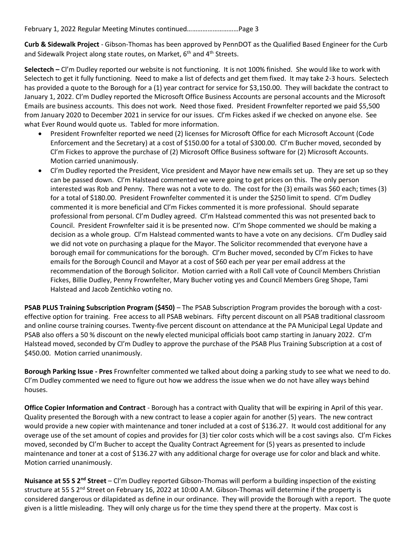**Curb & Sidewalk Project** - Gibson-Thomas has been approved by PennDOT as the Qualified Based Engineer for the Curb and Sidewalk Project along state routes, on Market, 6<sup>th</sup> and 4<sup>th</sup> Streets.

**Selectech –** Cl'm Dudley reported our website is not functioning. It is not 100% finished.She would like to work with Selectech to get it fully functioning. Need to make a list of defects and get them fixed. It may take 2-3 hours. Selectech has provided a quote to the Borough for a (1) year contract for service for \$3,150.00. They will backdate the contract to January 1, 2022. Cl'm Dudley reported the Microsoft Office Business Accounts are personal accounts and the Microsoft Emails are business accounts. This does not work. Need those fixed. President Frownfelter reported we paid \$5,500 from January 2020 to December 2021 in service for our issues. Cl'm Fickes asked if we checked on anyone else. See what Ever Round would quote us. Tabled for more information.

- President Frownfelter reported we need (2) licenses for Microsoft Office for each Microsoft Account (Code Enforcement and the Secretary) at a cost of \$150.00 for a total of \$300.00. Cl'm Bucher moved, seconded by Cl'm Fickes to approve the purchase of (2) Microsoft Office Business software for (2) Microsoft Accounts. Motion carried unanimously.
- Cl'm Dudley reported the President, Vice president and Mayor have new emails set up. They are set up so they can be passed down. Cl'm Halstead commented we were going to get prices on this. The only person interested was Rob and Penny. There was not a vote to do. The cost for the (3) emails was \$60 each; times (3) for a total of \$180.00. President Frownfelter commented it is under the \$250 limit to spend. Cl'm Dudley commented it is more beneficial and Cl'm Fickes commented it is more professional. Should separate professional from personal. CI'm Dudley agreed. CI'm Halstead commented this was not presented back to Council. President Frownfelter said it is be presented now. Cl'm Shope commented we should be making a decision as a whole group. Cl'm Halstead commented wants to have a vote on any decisions. Cl'm Dudley said we did not vote on purchasing a plaque for the Mayor. The Solicitor recommended that everyone have a borough email for communications for the borough. Cl'm Bucher moved, seconded by Cl'm Fickes to have emails for the Borough Council and Mayor at a cost of \$60 each per year per email address at the recommendation of the Borough Solicitor. Motion carried with a Roll Call vote of Council Members Christian Fickes, Billie Dudley, Penny Frownfelter, Mary Bucher voting yes and Council Members Greg Shope, Tami Halstead and Jacob Zentichko voting no.

**PSAB PLUS Training Subscription Program (\$450)** – The PSAB Subscription Program provides the borough with a costeffective option for training. Free access to all PSAB webinars. Fifty percent discount on all PSAB traditional classroom and online course training courses. Twenty-five percent discount on attendance at the PA Municipal Legal Update and PSAB also offers a 50 % discount on the newly elected municipal officials boot camp starting in January 2022. Cl'm Halstead moved, seconded by Cl'm Dudley to approve the purchase of the PSAB Plus Training Subscription at a cost of \$450.00. Motion carried unanimously.

**Borough Parking Issue - Pres** Frownfelter commented we talked about doing a parking study to see what we need to do. Cl'm Dudley commented we need to figure out how we address the issue when we do not have alley ways behind houses.

**Office Copier Information and Contract** - Borough has a contract with Quality that will be expiring in April of this year. Quality presented the Borough with a new contract to lease a copier again for another (5) years. The new contract would provide a new copier with maintenance and toner included at a cost of \$136.27. It would cost additional for any overage use of the set amount of copies and provides for (3) tier color costs which will be a cost savings also. Cl'm Fickes moved, seconded by Cl'm Bucher to accept the Quality Contract Agreement for (5) years as presented to include maintenance and toner at a cost of \$136.27 with any additional charge for overage use for color and black and white. Motion carried unanimously.

**Nuisance at 55 S 2nd Street** – Cl'm Dudley reported Gibson-Thomas will perform a building inspection of the existing structure at 55 S 2<sup>nd</sup> Street on February 16, 2022 at 10:00 A.M. Gibson-Thomas will determine if the property is considered dangerous or dilapidated as define in our ordinance. They will provide the Borough with a report. The quote given is a little misleading. They will only charge us for the time they spend there at the property. Max cost is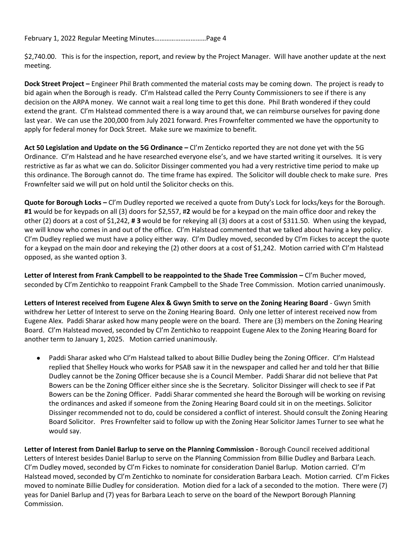\$2,740.00. This is for the inspection, report, and review by the Project Manager. Will have another update at the next meeting.

**Dock Street Project –** Engineer Phil Brath commented the material costs may be coming down. The project is ready to bid again when the Borough is ready. Cl'm Halstead called the Perry County Commissioners to see if there is any decision on the ARPA money. We cannot wait a real long time to get this done. Phil Brath wondered if they could extend the grant. Cl'm Halstead commented there is a way around that, we can reimburse ourselves for paving done last year. We can use the 200,000 from July 2021 forward. Pres Frownfelter commented we have the opportunity to apply for federal money for Dock Street. Make sure we maximize to benefit.

**Act 50 Legislation and Update on the 5G Ordinance –** Cl'm Zenticko reported they are not done yet with the 5G Ordinance. Cl'm Halstead and he have researched everyone else's, and we have started writing it ourselves. It is very restrictive as far as what we can do. Solicitor Dissinger commented you had a very restrictive time period to make up this ordinance. The Borough cannot do. The time frame has expired. The Solicitor will double check to make sure. Pres Frownfelter said we will put on hold until the Solicitor checks on this.

**Quote for Borough Locks –** Cl'm Dudley reported we received a quote from Duty's Lock for locks/keys for the Borough. **#1** would be for keypads on all (3) doors for \$2,557, #**2** would be for a keypad on the main office door and rekey the other (2) doors at a cost of \$1,242, **# 3** would be for rekeying all (3) doors at a cost of \$311.50. When using the keypad, we will know who comes in and out of the office. Cl'm Halstead commented that we talked about having a key policy. Cl'm Dudley replied we must have a policy either way. Cl'm Dudley moved, seconded by Cl'm Fickes to accept the quote for a keypad on the main door and rekeying the (2) other doors at a cost of \$1,242. Motion carried with Cl'm Halstead opposed, as she wanted option 3.

Letter of Interest from Frank Campbell to be reappointed to the Shade Tree Commission – Cl'm Bucher moved, seconded by Cl'm Zentichko to reappoint Frank Campbell to the Shade Tree Commission. Motion carried unanimously.

**Letters of Interest received from Eugene Alex & Gwyn Smith to serve on the Zoning Hearing Board** - Gwyn Smith withdrew her Letter of Interest to serve on the Zoning Hearing Board. Only one letter of interest received now from Eugene Alex. Paddi Sharar asked how many people were on the board. There are (3) members on the Zoning Hearing Board. Cl'm Halstead moved, seconded by Cl'm Zentichko to reappoint Eugene Alex to the Zoning Hearing Board for another term to January 1, 2025. Motion carried unanimously.

Paddi Sharar asked who Cl'm Halstead talked to about Billie Dudley being the Zoning Officer. Cl'm Halstead replied that Shelley Houck who works for PSAB saw it in the newspaper and called her and told her that Billie Dudley cannot be the Zoning Officer because she is a Council Member. Paddi Sharar did not believe that Pat Bowers can be the Zoning Officer either since she is the Secretary. Solicitor Dissinger will check to see if Pat Bowers can be the Zoning Officer. Paddi Sharar commented she heard the Borough will be working on revising the ordinances and asked if someone from the Zoning Hearing Board could sit in on the meetings. Solicitor Dissinger recommended not to do, could be considered a conflict of interest. Should consult the Zoning Hearing Board Solicitor. Pres Frownfelter said to follow up with the Zoning Hear Solicitor James Turner to see what he would say.

**Letter of Interest from Daniel Barlup to serve on the Planning Commission -** Borough Council received additional Letters of Interest besides Daniel Barlup to serve on the Planning Commission from Billie Dudley and Barbara Leach. Cl'm Dudley moved, seconded by Cl'm Fickes to nominate for consideration Daniel Barlup. Motion carried. Cl'm Halstead moved, seconded by Cl'm Zentichko to nominate for consideration Barbara Leach. Motion carried. Cl'm Fickes moved to nominate Billie Dudley for consideration. Motion died for a lack of a seconded to the motion. There were (7) yeas for Daniel Barlup and (7) yeas for Barbara Leach to serve on the board of the Newport Borough Planning Commission.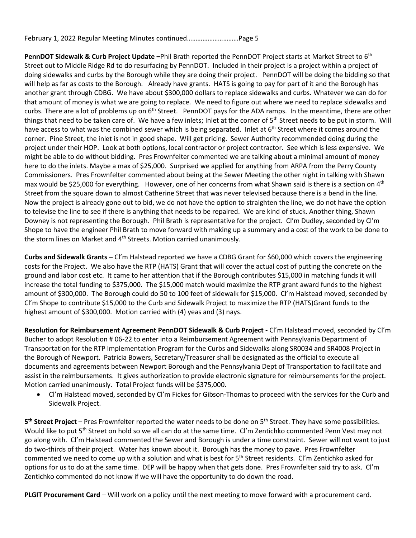**PennDOT Sidewalk & Curb Project Update –**Phil Brath reported the PennDOT Project starts at Market Street to 6th Street out to Middle Ridge Rd to do resurfacing by PennDOT. Included in their project is a project within a project of doing sidewalks and curbs by the Borough while they are doing their project. PennDOT will be doing the bidding so that will help as far as costs to the Borough. Already have grants. HATS is going to pay for part of it and the Borough has another grant through CDBG. We have about \$300,000 dollars to replace sidewalks and curbs. Whatever we can do for that amount of money is what we are going to replace. We need to figure out where we need to replace sidewalks and curbs. There are a lot of problems up on  $6<sup>th</sup>$  Street. PennDOT pays for the ADA ramps. In the meantime, there are other things that need to be taken care of. We have a few inlets; Inlet at the corner of 5<sup>th</sup> Street needs to be put in storm. Will have access to what was the combined sewer which is being separated. Inlet at 6<sup>th</sup> Street where it comes around the corner. Pine Street, the inlet is not in good shape. Will get pricing. Sewer Authority recommended doing during the project under their HOP. Look at both options, local contractor or project contractor. See which is less expensive. We might be able to do without bidding. Pres Frownfelter commented we are talking about a minimal amount of money here to do the inlets. Maybe a max of \$25,000. Surprised we applied for anything from ARPA from the Perry County Commissioners. Pres Frownfelter commented about being at the Sewer Meeting the other night in talking with Shawn max would be \$25,000 for everything. However, one of her concerns from what Shawn said is there is a section on  $4<sup>th</sup>$ Street from the square down to almost Catherine Street that was never televised because there is a bend in the line. Now the project is already gone out to bid, we do not have the option to straighten the line, we do not have the option to televise the line to see if there is anything that needs to be repaired. We are kind of stuck. Another thing, Shawn Downey is not representing the Borough. Phil Brath is representative for the project. Cl'm Dudley, seconded by Cl'm Shope to have the engineer Phil Brath to move forward with making up a summary and a cost of the work to be done to the storm lines on Market and 4<sup>th</sup> Streets. Motion carried unanimously.

**Curbs and Sidewalk Grants –** Cl'm Halstead reported we have a CDBG Grant for \$60,000 which covers the engineering costs for the Project. We also have the RTP (HATS) Grant that will cover the actual cost of putting the concrete on the ground and labor cost etc. It came to her attention that if the Borough contributes \$15,000 in matching funds it will increase the total funding to \$375,000. The \$15,000 match would maximize the RTP grant award funds to the highest amount of \$300,000. The Borough could do 50 to 100 feet of sidewalk for \$15,000. Cl'm Halstead moved, seconded by Cl'm Shope to contribute \$15,000 to the Curb and Sidewalk Project to maximize the RTP (HATS)Grant funds to the highest amount of \$300,000. Motion carried with (4) yeas and (3) nays.

**Resolution for Reimbursement Agreement PennDOT Sidewalk & Curb Project -** Cl'm Halstead moved, seconded by Cl'm Bucher to adopt Resolution # 06-22 to enter into a Reimbursement Agreement with Pennsylvania Department of Transportation for the RTP Implementation Program for the Curbs and Sidewalks along SR0034 and SR4008 Project in the Borough of Newport. Patricia Bowers, Secretary/Treasurer shall be designated as the official to execute all documents and agreements between Newport Borough and the Pennsylvania Dept of Transportation to facilitate and assist in the reimbursements. It gives authorization to provide electronic signature for reimbursements for the project. Motion carried unanimously. Total Project funds will be \$375,000.

• Cl'm Halstead moved, seconded by Cl'm Fickes for Gibson-Thomas to proceed with the services for the Curb and Sidewalk Project.

**5<sup>th</sup> Street Project** – Pres Frownfelter reported the water needs to be done on 5<sup>th</sup> Street. They have some possibilities. Would like to put 5<sup>th</sup> Street on hold so we all can do at the same time. Cl'm Zentichko commented Penn Vest may not go along with. Cl'm Halstead commented the Sewer and Borough is under a time constraint. Sewer will not want to just do two-thirds of their project. Water has known about it. Borough has the money to pave. Pres Frownfelter commented we need to come up with a solution and what is best for  $5<sup>th</sup>$  Street residents. CI'm Zentichko asked for options for us to do at the same time. DEP will be happy when that gets done. Pres Frownfelter said try to ask. Cl'm Zentichko commented do not know if we will have the opportunity to do down the road.

**PLGIT Procurement Card** – Will work on a policy until the next meeting to move forward with a procurement card.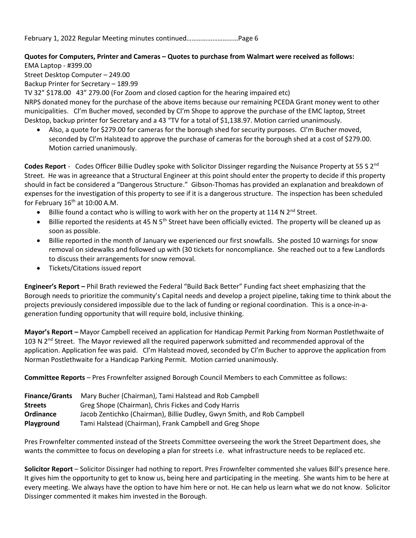## **Quotes for Computers, Printer and Cameras – Quotes to purchase from Walmart were received as follows:**

EMA Laptop - #399.00

Street Desktop Computer – 249.00

Backup Printer for Secretary – 189.99

TV 32" \$178.00 43" 279.00 (For Zoom and closed caption for the hearing impaired etc) NRPS donated money for the purchase of the above items because our remaining PCEDA Grant money went to other municipalities. Cl'm Bucher moved, seconded by Cl'm Shope to approve the purchase of the EMC laptop, Street Desktop, backup printer for Secretary and a 43 "TV for a total of \$1,138.97. Motion carried unanimously.

• Also, a quote for \$279.00 for cameras for the borough shed for security purposes. Cl'm Bucher moved, seconded by Cl'm Halstead to approve the purchase of cameras for the borough shed at a cost of \$279.00. Motion carried unanimously.

**Codes Report** - Codes Officer Billie Dudley spoke with Solicitor Dissinger regarding the Nuisance Property at 55 S 2nd Street. He was in agreeance that a Structural Engineer at this point should enter the property to decide if this property should in fact be considered a "Dangerous Structure." Gibson-Thomas has provided an explanation and breakdown of expenses for the investigation of this property to see if it is a dangerous structure. The inspection has been scheduled for February  $16<sup>th</sup>$  at 10:00 A.M.

- Billie found a contact who is willing to work with her on the property at 114 N 2<sup>nd</sup> Street.
- Billie reported the residents at 45 N  $5<sup>th</sup>$  Street have been officially evicted. The property will be cleaned up as soon as possible.
- Billie reported in the month of January we experienced our first snowfalls. She posted 10 warnings for snow removal on sidewalks and followed up with (30 tickets for noncompliance. She reached out to a few Landlords to discuss their arrangements for snow removal.
- Tickets/Citations issued report

**Engineer's Report –** Phil Brath reviewed the Federal "Build Back Better" Funding fact sheet emphasizing that the Borough needs to prioritize the community's Capital needs and develop a project pipeline, taking time to think about the projects previously considered impossible due to the lack of funding or regional coordination. This is a once-in-ageneration funding opportunity that will require bold, inclusive thinking.

**Mayor's Report –** Mayor Campbell received an application for Handicap Permit Parking from Norman Postlethwaite of 103 N 2<sup>nd</sup> Street. The Mayor reviewed all the required paperwork submitted and recommended approval of the application. Application fee was paid. Cl'm Halstead moved, seconded by Cl'm Bucher to approve the application from Norman Postlethwaite for a Handicap Parking Permit. Motion carried unanimously.

**Committee Reports** – Pres Frownfelter assigned Borough Council Members to each Committee as follows:

| <b>Finance/Grants</b> | Mary Bucher (Chairman), Tami Halstead and Rob Campbell                  |
|-----------------------|-------------------------------------------------------------------------|
| <b>Streets</b>        | Greg Shope (Chairman), Chris Fickes and Cody Harris                     |
| <b>Ordinance</b>      | Jacob Zentichko (Chairman), Billie Dudley, Gwyn Smith, and Rob Campbell |
| <b>Playground</b>     | Tami Halstead (Chairman), Frank Campbell and Greg Shope                 |

Pres Frownfelter commented instead of the Streets Committee overseeing the work the Street Department does, she wants the committee to focus on developing a plan for streets i.e. what infrastructure needs to be replaced etc.

**Solicitor Report** – Solicitor Dissinger had nothing to report. Pres Frownfelter commented she values Bill's presence here. It gives him the opportunity to get to know us, being here and participating in the meeting. She wants him to be here at every meeting. We always have the option to have him here or not. He can help us learn what we do not know. Solicitor Dissinger commented it makes him invested in the Borough.